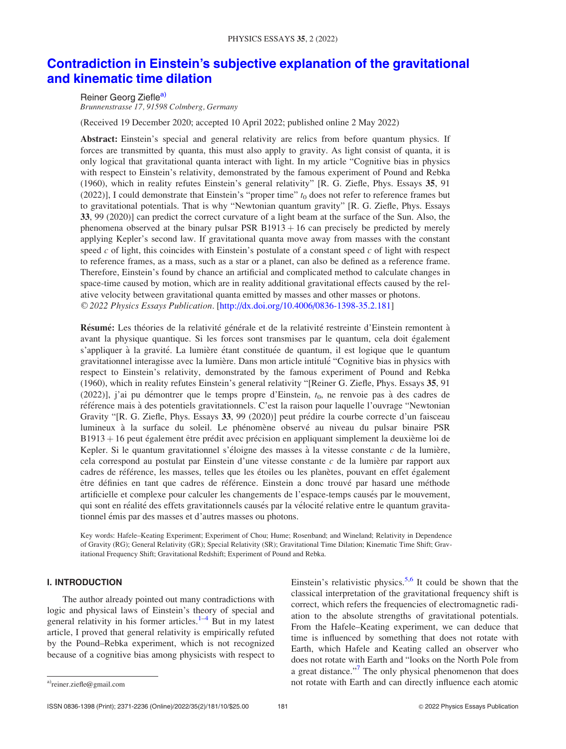# [Contradiction in Einstein's subjective explanation of the gravitational](http://dx.doi.org/10.4006/0836-1398-35.2.181) [and kinematic time dilation](http://dx.doi.org/10.4006/0836-1398-35.2.181)

Reiner Georg Ziefle<sup>a)</sup> Brunnenstrasse 17, 91598 Colmberg, Germany

(Received 19 December 2020; accepted 10 April 2022; published online 2 May 2022)

Abstract: Einstein's special and general relativity are relics from before quantum physics. If forces are transmitted by quanta, this must also apply to gravity. As light consist of quanta, it is only logical that gravitational quanta interact with light. In my article "Cognitive bias in physics with respect to Einstein's relativity, demonstrated by the famous experiment of Pound and Rebka (1960), which in reality refutes Einstein's general relativity" [R. G. Ziefle, Phys. Essays 35, 91 (2022)], I could demonstrate that Einstein's "proper time"  $t_0$  does not refer to reference frames but to gravitational potentials. That is why "Newtonian quantum gravity" [R. G. Ziefle, Phys. Essays 33, 99 (2020)] can predict the correct curvature of a light beam at the surface of the Sun. Also, the phenomena observed at the binary pulsar PSR  $B1913 + 16$  can precisely be predicted by merely applying Kepler's second law. If gravitational quanta move away from masses with the constant speed  $c$  of light, this coincides with Einstein's postulate of a constant speed  $c$  of light with respect to reference frames, as a mass, such as a star or a planet, can also be defined as a reference frame. Therefore, Einstein's found by chance an artificial and complicated method to calculate changes in space-time caused by motion, which are in reality additional gravitational effects caused by the relative velocity between gravitational quanta emitted by masses and other masses or photons. V<sup>C</sup> 2022 Physics Essays Publication. [http://dx.doi.org/10.4006/0836-1398-35.2.181]

Résumé: Les théories de la relativité générale et de la relativité restreinte d'Einstein remontent à avant la physique quantique. Si les forces sont transmises par le quantum, cela doit également s'appliquer à la gravité. La lumière étant constituée de quantum, il est logique que le quantum gravitationnel interagisse avec la lumière. Dans mon article intitulé "Cognitive bias in physics with respect to Einstein's relativity, demonstrated by the famous experiment of Pound and Rebka (1960), which in reality refutes Einstein's general relativity "[Reiner G. Ziefle, Phys. Essays 35, 91 (2022)], j'ai pu démontrer que le temps propre d'Einstein,  $t_0$ , ne renvoie pas à des cadres de référence mais à des potentiels gravitationnels. C'est la raison pour laquelle l'ouvrage "Newtonian Gravity "[R. G. Ziefle, Phys. Essays 33, 99 (2020)] peut prédire la courbe correcte d'un faisceau lumineux à la surface du soleil. Le phénomène observé au niveau du pulsar binaire PSR B1913 + 16 peut également être prédit avec précision en appliquant simplement la deuxième loi de Kepler. Si le quantum gravitationnel s'éloigne des masses à la vitesse constante  $c$  de la lumière, cela correspond au postulat par Einstein d'une vitesse constante  $c$  de la lumière par rapport aux cadres de référence, les masses, telles que les étoiles ou les planètes, pouvant en effet également être définies en tant que cadres de référence. Einstein a donc trouvé par hasard une méthode artificielle et complexe pour calculer les changements de l'espace-temps causés par le mouvement, qui sont en réalité des effets gravitationnels causés par la vélocité relative entre le quantum gravitationnel émis par des masses et d'autres masses ou photons.

Key words: Hafele–Keating Experiment; Experiment of Chou; Hume; Rosenband; and Wineland; Relativity in Dependence of Gravity (RG); General Relativity (GR); Special Relativity (SR); Gravitational Time Dilation; Kinematic Time Shift; Gravitational Frequency Shift; Gravitational Redshift; Experiment of Pound and Rebka.

# I. INTRODUCTION

The author already pointed out many contradictions with logic and physical laws of Einstein's theory of special and general relativity in his former articles.<sup>[1–4](#page-8-0)</sup> But in my latest article, I proved that general relativity is empirically refuted by the Pound–Rebka experiment, which is not recognized because of a cognitive bias among physicists with respect to

Einstein's relativistic physics.<sup>[5,6](#page-9-0)</sup> It could be shown that the classical interpretation of the gravitational frequency shift is correct, which refers the frequencies of electromagnetic radiation to the absolute strengths of gravitational potentials. From the Hafele–Keating experiment, we can deduce that time is influenced by something that does not rotate with Earth, which Hafele and Keating called an observer who does not rotate with Earth and "looks on the North Pole from a great distance."<sup>[7](#page-9-0)</sup> The only physical phenomenon that does a)reiner.ziefle@gmail.com not rotate with Earth and can directly influence each atomic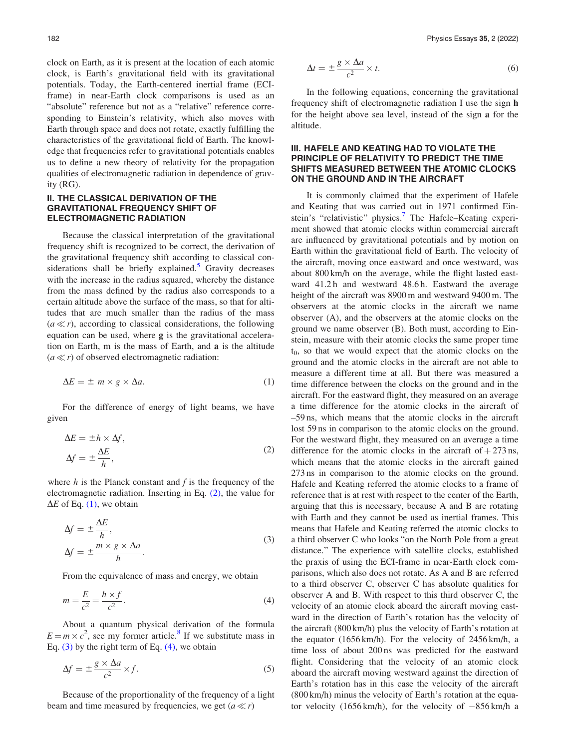clock on Earth, as it is present at the location of each atomic clock, is Earth's gravitational field with its gravitational potentials. Today, the Earth-centered inertial frame (ECIframe) in near-Earth clock comparisons is used as an "absolute" reference but not as a "relative" reference corresponding to Einstein's relativity, which also moves with Earth through space and does not rotate, exactly fulfilling the characteristics of the gravitational field of Earth. The knowledge that frequencies refer to gravitational potentials enables us to define a new theory of relativity for the propagation qualities of electromagnetic radiation in dependence of gravity (RG).

# II. THE CLASSICAL DERIVATION OF THE GRAVITATIONAL FREQUENCY SHIFT OF ELECTROMAGNETIC RADIATION

Because the classical interpretation of the gravitational frequency shift is recognized to be correct, the derivation of the gravitational frequency shift according to classical con-siderations shall be briefly explained.<sup>[5](#page-9-0)</sup> Gravity decreases with the increase in the radius squared, whereby the distance from the mass defined by the radius also corresponds to a certain altitude above the surface of the mass, so that for altitudes that are much smaller than the radius of the mass  $(a \ll r)$ , according to classical considerations, the following equation can be used, where g is the gravitational acceleration on Earth, m is the mass of Earth, and a is the altitude  $(a \ll r)$  of observed electromagnetic radiation:

$$
\Delta E = \pm m \times g \times \Delta a. \tag{1}
$$

For the difference of energy of light beams, we have given

$$
\Delta E = \pm h \times \Delta f,
$$
  

$$
\Delta f = \pm \frac{\Delta E}{h},
$$
 (2)

where  $h$  is the Planck constant and  $f$  is the frequency of the electromagnetic radiation. Inserting in Eq. (2), the value for  $\Delta E$  of Eq. (1), we obtain

$$
\Delta f = \pm \frac{\Delta E}{h},
$$
  
\n
$$
\Delta f = \pm \frac{m \times g \times \Delta a}{h}.
$$
\n(3)

From the equivalence of mass and energy, we obtain

$$
m = \frac{E}{c^2} = \frac{h \times f}{c^2}.
$$
\n<sup>(4)</sup>

About a quantum physical derivation of the formula  $E = m \times c^2$ , see my former article.<sup>[8](#page-9-0)</sup> If we substitute mass in Eq.  $(3)$  by the right term of Eq.  $(4)$ , we obtain

$$
\Delta f = \pm \frac{g \times \Delta a}{c^2} \times f. \tag{5}
$$

Because of the proportionality of the frequency of a light beam and time measured by frequencies, we get  $(a \ll r)$ 

$$
\Delta t = \pm \frac{g \times \Delta a}{c^2} \times t. \tag{6}
$$

In the following equations, concerning the gravitational frequency shift of electromagnetic radiation I use the sign h for the height above sea level, instead of the sign a for the altitude.

## III. HAFELE AND KEATING HAD TO VIOLATE THE PRINCIPLE OF RELATIVITY TO PREDICT THE TIME SHIFTS MEASURED BETWEEN THE ATOMIC CLOCKS ON THE GROUND AND IN THE AIRCRAFT

It is commonly claimed that the experiment of Hafele and Keating that was carried out in 1971 confirmed Ein-stein's "relativistic" physics.<sup>[7](#page-9-0)</sup> The Hafele–Keating experiment showed that atomic clocks within commercial aircraft are influenced by gravitational potentials and by motion on Earth within the gravitational field of Earth. The velocity of the aircraft, moving once eastward and once westward, was about 800 km/h on the average, while the flight lasted eastward 41.2h and westward 48.6h. Eastward the average height of the aircraft was 8900 m and westward 9400 m. The observers at the atomic clocks in the aircraft we name observer (A), and the observers at the atomic clocks on the ground we name observer (B). Both must, according to Einstein, measure with their atomic clocks the same proper time  $t_0$ , so that we would expect that the atomic clocks on the ground and the atomic clocks in the aircraft are not able to measure a different time at all. But there was measured a time difference between the clocks on the ground and in the aircraft. For the eastward flight, they measured on an average a time difference for the atomic clocks in the aircraft of –59 ns, which means that the atomic clocks in the aircraft lost 59 ns in comparison to the atomic clocks on the ground. For the westward flight, they measured on an average a time difference for the atomic clocks in the aircraft of  $+273$  ns, which means that the atomic clocks in the aircraft gained 273 ns in comparison to the atomic clocks on the ground. Hafele and Keating referred the atomic clocks to a frame of reference that is at rest with respect to the center of the Earth, arguing that this is necessary, because A and B are rotating with Earth and they cannot be used as inertial frames. This means that Hafele and Keating referred the atomic clocks to a third observer C who looks "on the North Pole from a great distance." The experience with satellite clocks, established the praxis of using the ECI-frame in near-Earth clock comparisons, which also does not rotate. As A and B are referred to a third observer C, observer C has absolute qualities for observer A and B. With respect to this third observer C, the velocity of an atomic clock aboard the aircraft moving eastward in the direction of Earth's rotation has the velocity of the aircraft (800 km/h) plus the velocity of Earth's rotation at the equator (1656 km/h). For the velocity of 2456 km/h, a time loss of about 200 ns was predicted for the eastward flight. Considering that the velocity of an atomic clock aboard the aircraft moving westward against the direction of Earth's rotation has in this case the velocity of the aircraft (800 km/h) minus the velocity of Earth's rotation at the equator velocity (1656 km/h), for the velocity of  $-856$  km/h a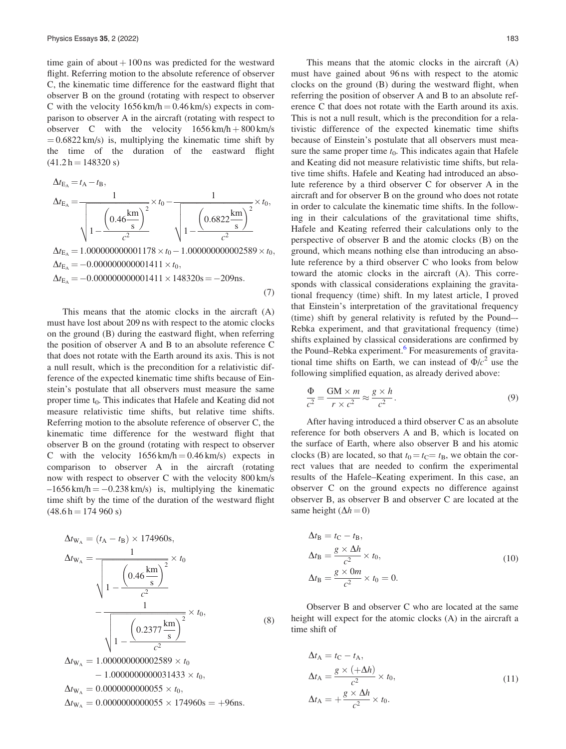<span id="page-2-0"></span>time gain of about  $+100$  ns was predicted for the westward flight. Referring motion to the absolute reference of observer C, the kinematic time difference for the eastward flight that observer B on the ground (rotating with respect to observer C with the velocity  $1656 \text{ km/h} = 0.46 \text{ km/s}$  expects in comparison to observer A in the aircraft (rotating with respect to observer C with the velocity  $1656 \text{ km/h} + 800 \text{ km/s}$  $= 0.6822$  km/s) is, multiplying the kinematic time shift by the time of the duration of the eastward flight  $(41.2 h = 148320 s)$ 

$$
\Delta t_{E_A} = t_A - t_B,
$$
  
\n
$$
\Delta t_{E_A} = \frac{1}{\sqrt{1 - \frac{\left(0.46 \frac{\text{km}}{\text{s}}\right)^2}{c^2}}} \times t_0 - \frac{1}{\sqrt{1 - \frac{\left(0.6822 \frac{\text{km}}{\text{s}}\right)^2}{c^2}}} \times t_0,
$$

 $\Delta t_{\text{E}_{\text{A}}} = 1.000000000001178 \times t_0 - 1.000000000002589 \times t_0,$  $\Delta t_{\rm E_A} = -0.000000000001411 \times t_0,$  $\Delta t_{\text{E}_{\text{A}}} = -0.000000000001411 \times 148320 \text{s} = -209 \text{ns}.$ 

(7)

This means that the atomic clocks in the aircraft (A) must have lost about 209 ns with respect to the atomic clocks on the ground (B) during the eastward flight, when referring the position of observer A and B to an absolute reference C that does not rotate with the Earth around its axis. This is not a null result, which is the precondition for a relativistic difference of the expected kinematic time shifts because of Einstein's postulate that all observers must measure the same proper time  $t_0$ . This indicates that Hafele and Keating did not measure relativistic time shifts, but relative time shifts. Referring motion to the absolute reference of observer C, the kinematic time difference for the westward flight that observer B on the ground (rotating with respect to observer C with the velocity  $1656 \text{ km/h} = 0.46 \text{ km/s}$  expects in comparison to observer A in the aircraft (rotating now with respect to observer C with the velocity 800 km/s  $-1656 \text{ km/h} = -0.238 \text{ km/s}$  is, multiplying the kinematic time shift by the time of the duration of the westward flight  $(48.6 h = 174 960 s)$ 

$$
\Delta t_{\rm W_A} = (t_{\rm A} - t_{\rm B}) \times 174960 \text{s},
$$
\n
$$
\Delta t_{\rm W_A} = \frac{1}{\sqrt{1 - \frac{\left(0.46 \frac{\text{km}}{\text{s}}\right)^2}{c^2}}} \times t_0
$$
\n
$$
-\frac{1}{\sqrt{1 - \frac{\left(0.2377 \frac{\text{km}}{\text{s}}\right)^2}{c^2}}} \times t_0,
$$
\n(8)

 $000000002$ 389  $\times t_0$  $-1.0000000000031433 \times t_0$  $\Delta t_{\text{W}_{\text{A}}} = 0.0000000000055 \times t_0$  $\Delta t_{\rm W_A} = 0.0000000000055 \times 174960s = +96$ ns.

This means that the atomic clocks in the aircraft (A) must have gained about 96 ns with respect to the atomic clocks on the ground (B) during the westward flight, when referring the position of observer A and B to an absolute reference C that does not rotate with the Earth around its axis. This is not a null result, which is the precondition for a relativistic difference of the expected kinematic time shifts because of Einstein's postulate that all observers must measure the same proper time  $t_0$ . This indicates again that Hafele and Keating did not measure relativistic time shifts, but relative time shifts. Hafele and Keating had introduced an absolute reference by a third observer C for observer A in the aircraft and for observer B on the ground who does not rotate in order to calculate the kinematic time shifts. In the following in their calculations of the gravitational time shifts, Hafele and Keating referred their calculations only to the perspective of observer B and the atomic clocks (B) on the ground, which means nothing else than introducing an absolute reference by a third observer C who looks from below toward the atomic clocks in the aircraft (A). This corresponds with classical considerations explaining the gravitational frequency (time) shift. In my latest article, I proved that Einstein's interpretation of the gravitational frequency (time) shift by general relativity is refuted by the Pound–- Rebka experiment, and that gravitational frequency (time) shifts explained by classical considerations are confirmed by the Pound–Rebka experiment.<sup>6</sup> For measurements of gravitational time shifts on Earth, we can instead of  $\Phi/c^2$  use the following simplified equation, as already derived above:

$$
\frac{\Phi}{c^2} = \frac{GM \times m}{r \times c^2} \approx \frac{g \times h}{c^2}.
$$
\n(9)

After having introduced a third observer C as an absolute reference for both observers A and B, which is located on the surface of Earth, where also observer B and his atomic clocks (B) are located, so that  $t_0 = t_C = t_B$ , we obtain the correct values that are needed to confirm the experimental results of the Hafele–Keating experiment. In this case, an observer C on the ground expects no difference against observer B, as observer B and observer C are located at the same height ( $\Delta h = 0$ )

$$
\Delta t_{\rm B} = t_{\rm C} - t_{\rm B},
$$
  
\n
$$
\Delta t_{\rm B} = \frac{g \times \Delta h}{c^2} \times t_0,
$$
  
\n
$$
\Delta t_{\rm B} = \frac{g \times 0m}{c^2} \times t_0 = 0.
$$
\n(10)

Observer B and observer C who are located at the same height will expect for the atomic clocks (A) in the aircraft a time shift of

$$
\Delta t_{A} = t_{C} - t_{A},
$$
  
\n
$$
\Delta t_{A} = \frac{g \times (+\Delta h)}{c^{2}} \times t_{0},
$$
  
\n
$$
\Delta t_{A} = +\frac{g \times \Delta h}{c^{2}} \times t_{0}.
$$
\n(11)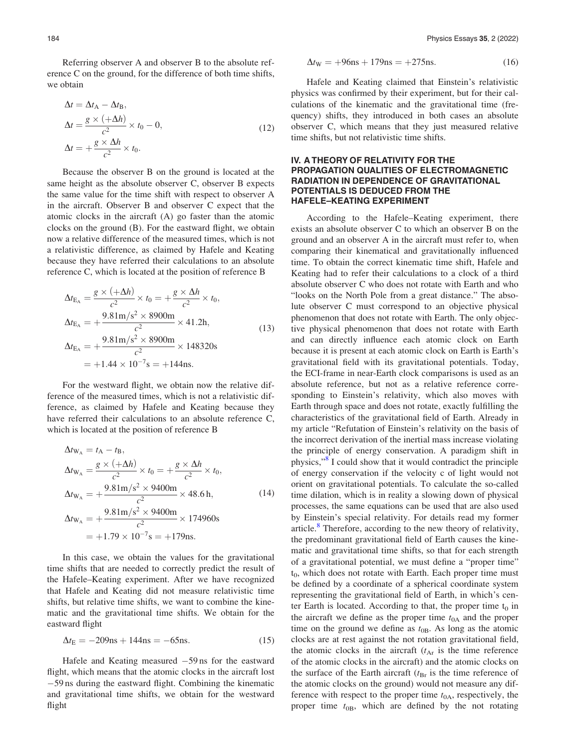Referring observer A and observer B to the absolute reference C on the ground, for the difference of both time shifts, we obtain

$$
\Delta t = \Delta t_{A} - \Delta t_{B},
$$
  
\n
$$
\Delta t = \frac{g \times (+\Delta h)}{c^{2}} \times t_{0} - 0,
$$
  
\n
$$
\Delta t = +\frac{g \times \Delta h}{c^{2}} \times t_{0}.
$$
\n(12)

Because the observer B on the ground is located at the same height as the absolute observer C, observer B expects the same value for the time shift with respect to observer A in the aircraft. Observer B and observer C expect that the atomic clocks in the aircraft (A) go faster than the atomic clocks on the ground (B). For the eastward flight, we obtain now a relative difference of the measured times, which is not a relativistic difference, as claimed by Hafele and Keating because they have referred their calculations to an absolute reference C, which is located at the position of reference B

$$
\Delta t_{\rm E_A} = \frac{g \times (+\Delta h)}{c^2} \times t_0 = +\frac{g \times \Delta h}{c^2} \times t_0,
$$
  
\n
$$
\Delta t_{\rm E_A} = +\frac{9.81 \text{m/s}^2 \times 8900 \text{m}}{c^2} \times 41.2 \text{h},
$$
  
\n
$$
\Delta t_{\rm E_A} = +\frac{9.81 \text{m/s}^2 \times 8900 \text{m}}{c^2} \times 148320 \text{s}
$$
  
\n
$$
= +1.44 \times 10^{-7} \text{s} = +144 \text{ns}.
$$
\n(13)

For the westward flight, we obtain now the relative difference of the measured times, which is not a relativistic difference, as claimed by Hafele and Keating because they have referred their calculations to an absolute reference C, which is located at the position of reference B

$$
\Delta t_{\rm W_A} = t_{\rm A} - t_{\rm B},
$$
\n
$$
\Delta t_{\rm W_A} = \frac{g \times (+\Delta h)}{c^2} \times t_0 = +\frac{g \times \Delta h}{c^2} \times t_0,
$$
\n
$$
\Delta t_{\rm W_A} = +\frac{9.81 \text{m/s}^2 \times 9400 \text{m}}{c^2} \times 48.6 \text{ h},
$$
\n
$$
\Delta t_{\rm W_A} = +\frac{9.81 \text{m/s}^2 \times 9400 \text{m}}{c^2} \times 174960 \text{s}
$$
\n
$$
= +1.79 \times 10^{-7} \text{s} = +179 \text{ns}.
$$
\n(14)

In this case, we obtain the values for the gravitational time shifts that are needed to correctly predict the result of the Hafele–Keating experiment. After we have recognized that Hafele and Keating did not measure relativistic time shifts, but relative time shifts, we want to combine the kinematic and the gravitational time shifts. We obtain for the eastward flight

$$
\Delta t_{\rm E} = -209 \text{ns} + 144 \text{ns} = -65 \text{ns}.\tag{15}
$$

Hafele and Keating measured  $-59$  ns for the eastward flight, which means that the atomic clocks in the aircraft lost 59 ns during the eastward flight. Combining the kinematic and gravitational time shifts, we obtain for the westward flight

$$
\Delta t_{\rm W} = +96 \text{ns} + 179 \text{ns} = +275 \text{ns}.\tag{16}
$$

Hafele and Keating claimed that Einstein's relativistic physics was confirmed by their experiment, but for their calculations of the kinematic and the gravitational time (frequency) shifts, they introduced in both cases an absolute observer C, which means that they just measured relative time shifts, but not relativistic time shifts.

### IV. A THEORY OF RELATIVITY FOR THE PROPAGATION QUALITIES OF ELECTROMAGNETIC RADIATION IN DEPENDENCE OF GRAVITATIONAL POTENTIALS IS DEDUCED FROM THE HAFELE–KEATING EXPERIMENT

According to the Hafele–Keating experiment, there exists an absolute observer C to which an observer B on the ground and an observer A in the aircraft must refer to, when comparing their kinematical and gravitationally influenced time. To obtain the correct kinematic time shift, Hafele and Keating had to refer their calculations to a clock of a third absolute observer C who does not rotate with Earth and who "looks on the North Pole from a great distance." The absolute observer C must correspond to an objective physical phenomenon that does not rotate with Earth. The only objective physical phenomenon that does not rotate with Earth and can directly influence each atomic clock on Earth because it is present at each atomic clock on Earth is Earth's gravitational field with its gravitational potentials. Today, the ECI-frame in near-Earth clock comparisons is used as an absolute reference, but not as a relative reference corresponding to Einstein's relativity, which also moves with Earth through space and does not rotate, exactly fulfilling the characteristics of the gravitational field of Earth. Already in my article "Refutation of Einstein's relativity on the basis of the incorrect derivation of the inertial mass increase violating the principle of energy conservation. A paradigm shift in physics,"[8](#page-9-0) I could show that it would contradict the principle of energy conservation if the velocity c of light would not orient on gravitational potentials. To calculate the so-called time dilation, which is in reality a slowing down of physical processes, the same equations can be used that are also used by Einstein's special relativity. For details read my former article. $8$  Therefore, according to the new theory of relativity, the predominant gravitational field of Earth causes the kinematic and gravitational time shifts, so that for each strength of a gravitational potential, we must define a "proper time"  $t<sub>0</sub>$ , which does not rotate with Earth. Each proper time must be defined by a coordinate of a spherical coordinate system representing the gravitational field of Earth, in which's center Earth is located. According to that, the proper time  $t_0$  in the aircraft we define as the proper time  $t_{0A}$  and the proper time on the ground we define as  $t_{0B}$ . As long as the atomic clocks are at rest against the not rotation gravitational field, the atomic clocks in the aircraft  $(t<sub>Ar</sub>$  is the time reference of the atomic clocks in the aircraft) and the atomic clocks on the surface of the Earth aircraft  $(t_{\text{Br}})$  is the time reference of the atomic clocks on the ground) would not measure any difference with respect to the proper time  $t_{0A}$ , respectively, the proper time  $t_{0B}$ , which are defined by the not rotating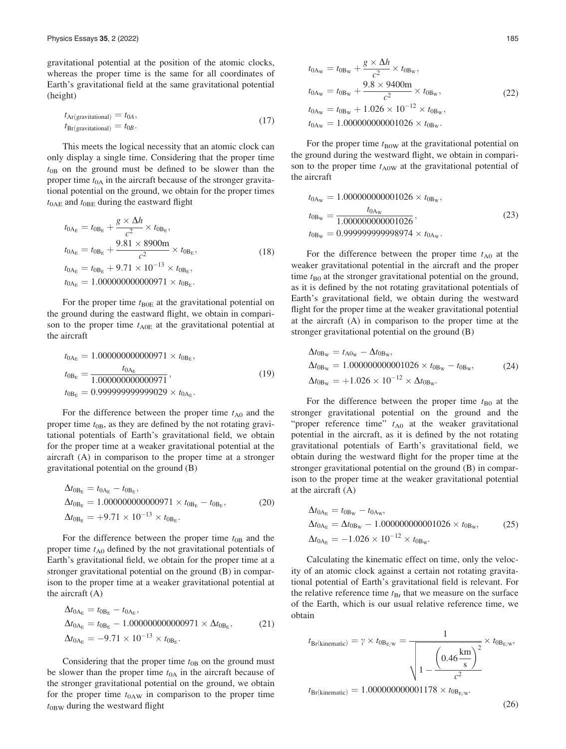<span id="page-4-0"></span>gravitational potential at the position of the atomic clocks, whereas the proper time is the same for all coordinates of Earth's gravitational field at the same gravitational potential (height)

$$
t_{\text{Ar}(\text{gravitational})} = t_{0A}, \n t_{\text{Br}(\text{gravitational})} = t_{0B}.
$$
\n(17)

This meets the logical necessity that an atomic clock can only display a single time. Considering that the proper time  $t_{0B}$  on the ground must be defined to be slower than the proper time  $t_{0A}$  in the aircraft because of the stronger gravitational potential on the ground, we obtain for the proper times  $t_{0AE}$  and  $t_{0BE}$  during the eastward flight

$$
t_{0A_{E}} = t_{0B_{E}} + \frac{g \times \Delta h}{c^{2}} \times t_{0B_{E}},
$$
  
\n
$$
t_{0A_{E}} = t_{0B_{E}} + \frac{9.81 \times 8900 \text{m}}{c^{2}} \times t_{0B_{E}},
$$
  
\n
$$
t_{0A_{E}} = t_{0B_{E}} + 9.71 \times 10^{-13} \times t_{0B_{E}},
$$
  
\n
$$
t_{0A_{E}} = 1.000000000000971 \times t_{0B_{E}}.
$$
\n(18)

For the proper time  $t_{B0E}$  at the gravitational potential on the ground during the eastward flight, we obtain in comparison to the proper time  $t_{A0E}$  at the gravitational potential at the aircraft

$$
t_{0A_{E}} = 1.00000000000971 \times t_{0B_{E}},
$$
  
\n
$$
t_{0B_{E}} = \frac{t_{0A_{E}}}{1.000000000000971},
$$
  
\n
$$
t_{0B_{E}} = 0.99999999999029 \times t_{0A_{E}}.
$$
\n(19)

For the difference between the proper time  $t_{A0}$  and the proper time  $t_{0B}$ , as they are defined by the not rotating gravitational potentials of Earth's gravitational field, we obtain for the proper time at a weaker gravitational potential at the aircraft (A) in comparison to the proper time at a stronger gravitational potential on the ground (B)

$$
\Delta t_{0B_E} = t_{0A_E} - t_{0B_E},
$$
  
\n
$$
\Delta t_{0B_E} = 1.000000000000971 \times t_{0B_E} - t_{0B_E},
$$
  
\n
$$
\Delta t_{0B_E} = +9.71 \times 10^{-13} \times t_{0B_E}.
$$
\n(20)

For the difference between the proper time  $t_{0B}$  and the proper time  $t_{A0}$  defined by the not gravitational potentials of Earth's gravitational field, we obtain for the proper time at a stronger gravitational potential on the ground (B) in comparison to the proper time at a weaker gravitational potential at the aircraft (A)

$$
\Delta t_{0A_{E}} = t_{0B_{E}} - t_{0A_{E}},
$$
  
\n
$$
\Delta t_{0A_{E}} = t_{0B_{E}} - 1.000000000000971 \times \Delta t_{0B_{E}},
$$
  
\n
$$
\Delta t_{0A_{E}} = -9.71 \times 10^{-13} \times t_{0B_{E}}.
$$
\n(21)

Considering that the proper time  $t_{0B}$  on the ground must be slower than the proper time  $t_{0A}$  in the aircraft because of the stronger gravitational potential on the ground, we obtain for the proper time  $t_{0AW}$  in comparison to the proper time  $t_{0BW}$  during the westward flight

$$
t_{0A_W} = t_{0B_W} + \frac{g \times \Delta h}{c^2} \times t_{0B_W},
$$
  
\n
$$
t_{0A_W} = t_{0B_W} + \frac{9.8 \times 9400 \text{m}}{c^2} \times t_{0B_W},
$$
  
\n
$$
t_{0A_W} = t_{0B_W} + 1.026 \times 10^{-12} \times t_{0B_W},
$$
  
\n
$$
t_{0A_W} = 1.000000000001026 \times t_{0B_W}.
$$
\n(22)

For the proper time  $t_{\text{B0W}}$  at the gravitational potential on the ground during the westward flight, we obtain in comparison to the proper time  $t_{A0W}$  at the gravitational potential of the aircraft

$$
t_{0\text{A}_W} = 1.000000000001026 \times t_{0\text{B}_W},
$$
  
\n
$$
t_{0\text{B}_W} = \frac{t_{0\text{A}_W}}{1.000000000001026},
$$
  
\n
$$
t_{0\text{B}_W} = 0.999999999998974 \times t_{0\text{A}_W}.
$$
\n(23)

For the difference between the proper time  $t_{A0}$  at the weaker gravitational potential in the aircraft and the proper time  $t_{\text{B}0}$  at the stronger gravitational potential on the ground, as it is defined by the not rotating gravitational potentials of Earth's gravitational field, we obtain during the westward flight for the proper time at the weaker gravitational potential at the aircraft (A) in comparison to the proper time at the stronger gravitational potential on the ground (B)

$$
\Delta t_{0\text{B}_\text{W}} = t_{\text{A0}_\text{W}} - \Delta t_{0\text{B}_\text{W}},
$$
  
\n
$$
\Delta t_{0\text{B}_\text{W}} = 1.000000000001026 \times t_{0\text{B}_\text{W}} - t_{0\text{B}_\text{W}},
$$
  
\n
$$
\Delta t_{0\text{B}_\text{W}} = +1.026 \times 10^{-12} \times \Delta t_{0\text{B}_\text{W}}.
$$
\n(24)

For the difference between the proper time  $t_{\text{B}0}$  at the stronger gravitational potential on the ground and the "proper reference time"  $t_{A0}$  at the weaker gravitational potential in the aircraft, as it is defined by the not rotating gravitational potentials of Earth's gravitational field, we obtain during the westward flight for the proper time at the stronger gravitational potential on the ground (B) in comparison to the proper time at the weaker gravitational potential at the aircraft (A)

$$
\Delta t_{0A_{E}} = t_{0B_{W}} - t_{0A_{W}},
$$
  
\n
$$
\Delta t_{0A_{E}} = \Delta t_{0B_{W}} - 1.000000000001026 \times t_{0B_{W}},
$$
  
\n
$$
\Delta t_{0A_{E}} = -1.026 \times 10^{-12} \times t_{0B_{W}}.
$$
\n(25)

Calculating the kinematic effect on time, only the velocity of an atomic clock against a certain not rotating gravitational potential of Earth's gravitational field is relevant. For the relative reference time  $t_{\text{Br}}$  that we measure on the surface of the Earth, which is our usual relative reference time, we obtain

$$
t_{\text{Br}(\text{kinematic})} = \gamma \times t_{\text{OB}_{\text{E/W}}} = \frac{1}{\sqrt{1 - \frac{\left(0.46 \frac{\text{km}}{\text{s}}\right)^2}{c^2}}} \times t_{\text{OB}_{\text{E/W}}},
$$

 $t_{\text{Br}(kinematic)} = 1.000000000001178 \times t_{0B_{E/W}}$ 

(26)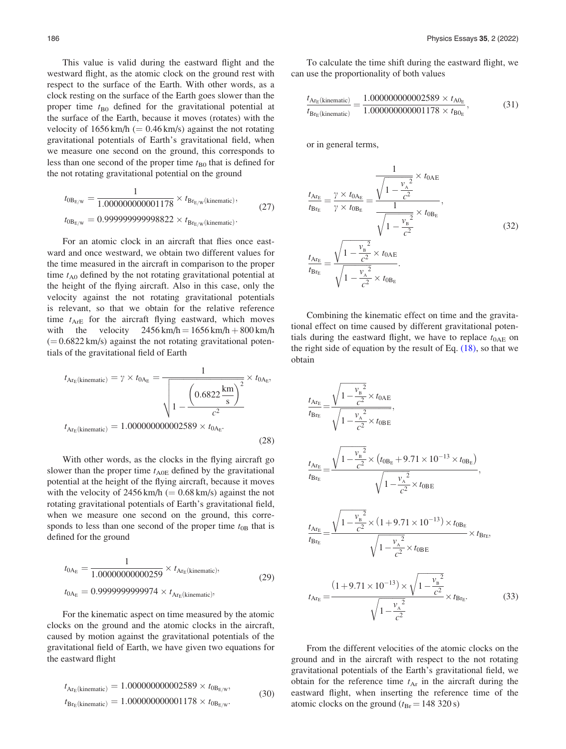<span id="page-5-0"></span>This value is valid during the eastward flight and the westward flight, as the atomic clock on the ground rest with respect to the surface of the Earth. With other words, as a clock resting on the surface of the Earth goes slower than the proper time  $t_{\text{B}0}$  defined for the gravitational potential at the surface of the Earth, because it moves (rotates) with the velocity of  $1656 \text{ km/h}$  (= 0.46 km/s) against the not rotating gravitational potentials of Earth's gravitational field, when we measure one second on the ground, this corresponds to less than one second of the proper time  $t_{\text{B}0}$  that is defined for the not rotating gravitational potential on the ground

$$
t_{0B_{E/W}} = \frac{1}{1.000000000001178} \times t_{Br_{E/W}(\text{kinematic})},
$$
  
\n
$$
t_{0B_{E/W}} = 0.99999999998822 \times t_{Br_{E/W}(\text{kinematic})}.
$$
\n(27)

For an atomic clock in an aircraft that flies once eastward and once westward, we obtain two different values for the time measured in the aircraft in comparison to the proper time  $t_{A0}$  defined by the not rotating gravitational potential at the height of the flying aircraft. Also in this case, only the velocity against the not rotating gravitational potentials is relevant, so that we obtain for the relative reference time  $t_{\text{ArE}}$  for the aircraft flying eastward, which moves with the velocity  $2456 \text{ km/h} = 1656 \text{ km/h} + 800 \text{ km/h}$  $(= 0.6822 \text{ km/s})$  against the not rotating gravitational potentials of the gravitational field of Earth

$$
t_{\text{Ar}_{\text{E}}(\text{kinematic})} = \gamma \times t_{0\text{A}_{\text{E}}} = \frac{1}{\sqrt{1 - \frac{\left(0.6822 \frac{\text{km}}{\text{s}}\right)^2}{c^2}}} \times t_{0\text{A}_{\text{E}}},
$$

$$
t_{\text{Ar}_{\text{E}}(\text{kinematic})} = 1.000000000002589 \times t_{0\text{A}_{\text{E}}}.
$$
(28)

With other words, as the clocks in the flying aircraft go slower than the proper time  $t_{A0E}$  defined by the gravitational potential at the height of the flying aircraft, because it moves with the velocity of  $2456 \text{ km/h} (= 0.68 \text{ km/s})$  against the not rotating gravitational potentials of Earth's gravitational field, when we measure one second on the ground, this corresponds to less than one second of the proper time  $t_{0B}$  that is defined for the ground

$$
t_{0A_{E}} = \frac{1}{1.00000000000259} \times t_{A_{T_{E}}(kinematic)},
$$
  
\n
$$
t_{0A_{E}} = 0.9999999999974 \times t_{A_{T_{E}}(kinematic)},
$$
\n(29)

For the kinematic aspect on time measured by the atomic clocks on the ground and the atomic clocks in the aircraft, caused by motion against the gravitational potentials of the gravitational field of Earth, we have given two equations for the eastward flight

$$
t_{\text{Ar}_{\text{E}}(\text{kinematic})} = 1.000000000002589 \times t_{0\text{B}_{\text{E/W}}},
$$
  
\n
$$
t_{\text{Br}_{\text{E}}(\text{kinematic})} = 1.000000000001178 \times t_{0\text{B}_{\text{E/W}}}. \tag{30}
$$

To calculate the time shift during the eastward flight, we can use the proportionality of both values

$$
\frac{t_{\text{Ar}_{\text{E}}(\text{kinematic})}}{t_{\text{Br}_{\text{E}}(\text{kinematic})}} = \frac{1.0000000000002589 \times t_{\text{A0}_{\text{E}}}}{1.0000000000001178 \times t_{\text{B0}_{\text{E}}}},\tag{31}
$$

or in general terms,

$$
\frac{t_{\text{Ar}_{\text{E}}}}{t_{\text{Br}_{\text{E}}}} = \frac{\gamma \times t_{0\text{A}_{\text{E}}}}{\gamma \times t_{0\text{B}_{\text{E}}}} = \frac{\sqrt{1 - \frac{v_{\text{A}}^2}{c^2}} \times t_{0\text{A}_{\text{E}}}}{1},
$$
\n
$$
\frac{t_{\text{Ar}_{\text{E}}}}{t_{\text{Br}_{\text{E}}}} = \frac{\sqrt{1 - \frac{v_{\text{B}}^2}{c^2}} \times t_{0\text{A}_{\text{E}}}}{\sqrt{1 - \frac{v_{\text{B}}^2}{c^2}}}
$$
\n
$$
\frac{t_{\text{Ar}_{\text{E}}}}{t_{\text{Br}_{\text{E}}}} = \frac{\sqrt{1 - \frac{v_{\text{A}}^2}{c^2}} \times t_{0\text{A}_{\text{E}}}}{\sqrt{1 - \frac{v_{\text{A}}^2}{c^2}} \times t_{0\text{B}_{\text{E}}}}.
$$
\n(32)

Combining the kinematic effect on time and the gravitational effect on time caused by different gravitational potentials during the eastward flight, we have to replace  $t_{0AE}$  on the right side of equation by the result of Eq.  $(18)$ , so that we obtain

$$
\frac{t_{\text{Ar}_{\text{E}}}}{t_{\text{Br}_{\text{E}}}} = \frac{\sqrt{1 - \frac{v_{\text{B}}^2}{c^2}} \times t_{0\text{AE}}}{\sqrt{1 - \frac{v_{\text{A}}^2}{c^2}} \times t_{0\text{BE}}},
$$
\n
$$
\frac{t_{\text{Ar}_{\text{E}}}}{t_{\text{Br}_{\text{E}}}} = \frac{\sqrt{1 - \frac{v_{\text{B}}^2}{c^2}} \times (t_{0\text{Be}} + 9.71 \times 10^{-13} \times t_{0\text{Be}})}{\sqrt{1 - \frac{v_{\text{A}}^2}{c^2}} \times t_{0\text{BE}}},
$$
\n
$$
\frac{t_{\text{Ar}_{\text{E}}}}{t_{\text{Br}_{\text{E}}}} = \frac{\sqrt{1 - \frac{v_{\text{B}}^2}{c^2}} \times (1 + 9.71 \times 10^{-13}) \times t_{0\text{Be}}}{\sqrt{1 - \frac{v_{\text{A}}^2}{c^2}} \times t_{0\text{BE}}}} \times t_{\text{Br}_{\text{E}}},
$$
\n
$$
t_{\text{Ar}_{\text{E}}} = \frac{(1 + 9.71 \times 10^{-13}) \times \sqrt{1 - \frac{v_{\text{B}}^2}{c^2}}}{\sqrt{1 - \frac{v_{\text{A}}^2}{c^2}} \times t_{\text{Br}_{\text{E}}}}}. \tag{33}
$$

From the different velocities of the atomic clocks on the ground and in the aircraft with respect to the not rotating gravitational potentials of the Earth's gravitational field, we obtain for the reference time  $t_{Ar}$  in the aircraft during the eastward flight, when inserting the reference time of the atomic clocks on the ground ( $t_{\text{Br}}$  = 148 320 s)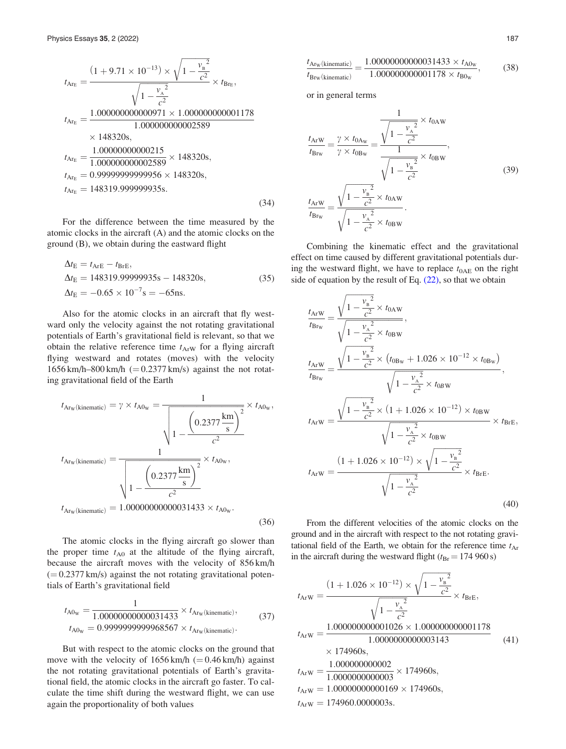<span id="page-6-0"></span>
$$
t_{A_{r_E}} = \frac{(1 + 9.71 \times 10^{-13}) \times \sqrt{1 - \frac{v_B^2}{c^2}}}{\sqrt{1 - \frac{v_A^2}{c^2}}} \times t_{B_{r_E}},
$$
  
\n
$$
t_{A_{r_E}} = \frac{1.000000000000971 \times 1.00000000001178}{1.00000000002589}
$$
  
\n
$$
\times 148320s,
$$
  
\n
$$
t_{A_{r_E}} = \frac{1.00000000000215}{1.00000000002589} \times 148320s,
$$
  
\n
$$
t_{A_{r_E}} = 0.9999999999956 \times 148320s,
$$
  
\n
$$
t_{A_{r_E}} = 148319.999999956 \times 148320s,
$$
  
\n
$$
t_{A_{r_E}} = 148319.999999956.
$$
  
\n(34)

For the difference between the time measured by the atomic clocks in the aircraft (A) and the atomic clocks on the ground (B), we obtain during the eastward flight

$$
\Delta t_{\rm E} = t_{\rm ArE} - t_{\rm BrE},
$$
  
\n
$$
\Delta t_{\rm E} = 148319.99999935s - 148320s,
$$
  
\n
$$
\Delta t_{\rm E} = -0.65 \times 10^{-7} s = -65 \text{ns}.
$$
\n(35)

Also for the atomic clocks in an aircraft that fly westward only the velocity against the not rotating gravitational potentials of Earth's gravitational field is relevant, so that we obtain the relative reference time  $t_{ArW}$  for a flying aircraft flying westward and rotates (moves) with the velocity  $1656 \text{ km/h} - 800 \text{ km/h}$  (= 0.2377 km/s) against the not rotating gravitational field of the Earth

$$
t_{Ar_w(kinematic)} = \gamma \times t_{A0_w} = \frac{1}{\sqrt{1 - \frac{\left(0.2377 \frac{\text{km}}{\text{s}}\right)^2}{c^2}}} \times t_{A0_w},
$$

$$
t_{Ar_w(kinematic)} = \frac{1}{\sqrt{1 - \frac{\left(0.2377 \frac{\text{km}}{\text{s}}\right)^2}{c^2}}} \times t_{A0_w},
$$

$$
t_{Ar_w(kinematic)} = 1.0000000000031433 \times t_{A0_w}.
$$
(36)

The atomic clocks in the flying aircraft go slower than the proper time  $t_{A0}$  at the altitude of the flying aircraft, because the aircraft moves with the velocity of 856 km/h  $(= 0.2377 \text{ km/s})$  against the not rotating gravitational potentials of Earth's gravitational field

$$
t_{A0_W} = \frac{1}{1.00000000000031433} \times t_{A\text{rw}}(\text{kinematic})
$$
  

$$
t_{A0_W} = 0.999999999968567 \times t_{A\text{rw}}(\text{kinematic})
$$
 (37)

But with respect to the atomic clocks on the ground that move with the velocity of  $1656 \text{ km/h}$  (=0.46 km/h) against the not rotating gravitational potentials of Earth's gravitational field, the atomic clocks in the aircraft go faster. To calculate the time shift during the westward flight, we can use again the proportionality of both values

$$
\frac{t_{\text{Ar}_{\text{W}}(\text{kinematic})}}{t_{\text{Br}_{\text{W}}(\text{kinematic})}} = \frac{1.000000000000031433 \times t_{\text{A0}_{\text{W}}}}{1.000000000001178 \times t_{\text{B0}_{\text{W}}}},\tag{38}
$$

or in general terms

$$
\frac{t_{ArW}}{t_{Br_W}} = \frac{\gamma \times t_{0A_W}}{\gamma \times t_{0B_W}} = \frac{\sqrt{1 - \frac{v_A^2}{c^2}} \times t_{0AW}}{1},
$$
\n
$$
\frac{t_{ArW}}{t_{Br_W}} = \frac{\sqrt{1 - \frac{v_B^2}{c^2}} \times t_{0AW}}{\sqrt{1 - \frac{v_B^2}{c^2}} \times t_{0AW}}.
$$
\n(39)

Combining the kinematic effect and the gravitational effect on time caused by different gravitational potentials during the westward flight, we have to replace  $t_{0AE}$  on the right side of equation by the result of Eq.  $(22)$ , so that we obtain

$$
\frac{t_{ArW}}{t_{Brw}} = \frac{\sqrt{1 - \frac{v_{B}^{2}}{c^{2}} \times t_{0AW}}}{\sqrt{1 - \frac{v_{A}^{2}}{c^{2}} \times t_{0BW}}},
$$
\n
$$
\frac{t_{ArW}}{t_{Brw}} = \frac{\sqrt{1 - \frac{v_{B}^{2}}{c^{2}} \times (t_{0B_{W}} + 1.026 \times 10^{-12} \times t_{0B_{W}})}}{\sqrt{1 - \frac{v_{A}^{2}}{c^{2}} \times t_{0BW}}},
$$
\n
$$
t_{ArW} = \frac{\sqrt{1 - \frac{v_{B}^{2}}{c^{2}} \times (1 + 1.026 \times 10^{-12}) \times t_{0BW}} \times t_{BrE}}{\sqrt{1 - \frac{v_{A}^{2}}{c^{2}} \times t_{0BW}} \times t_{BrE}},
$$
\n
$$
t_{ArW} = \frac{(1 + 1.026 \times 10^{-12}) \times \sqrt{1 - \frac{v_{B}^{2}}{c^{2}}}}{\sqrt{1 - \frac{v_{A}^{2}}{c^{2}} \times t_{BrE}}} \times t_{BrE}.
$$
\n(40)

From the different velocities of the atomic clocks on the ground and in the aircraft with respect to the not rotating gravitational field of the Earth, we obtain for the reference time  $t_{Ar}$ in the aircraft during the westward flight ( $t_{\text{Br}}$  = 174 960 s)

$$
t_{ArW} = \frac{(1 + 1.026 \times 10^{-12}) \times \sqrt{1 - \frac{v_B^2}{c^2}}}{\sqrt{1 - \frac{v_A^2}{c^2}}} \times t_{BrE},
$$
  
\n
$$
t_{ArW} = \frac{1.000000000001026 \times 1.00000000001178}{1.000000000003143} \times 174960s,
$$
  
\n
$$
t_{ArW} = \frac{1.000000000002}{1.000000000003} \times 174960s,
$$
  
\n
$$
t_{ArW} = 1.000000000000169 \times 174960s,
$$
  
\n
$$
t_{ArW} = 174960.00000003s.
$$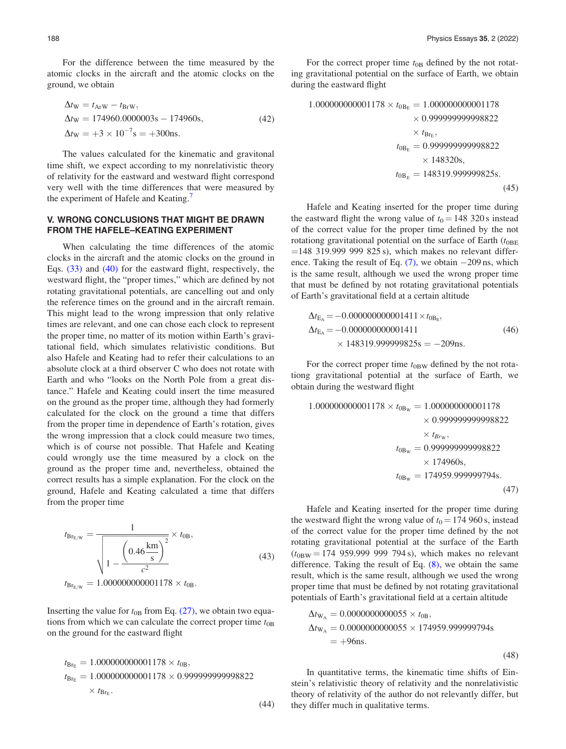For the difference between the time measured by the atomic clocks in the aircraft and the atomic clocks on the ground, we obtain

$$
\Delta t_{\rm W} = t_{\rm ArW} - t_{\rm BrW},
$$
  
\n
$$
\Delta t_{\rm W} = 174960.0000003 \, \text{s} - 174960 \, \text{s},
$$
  
\n
$$
\Delta t_{\rm W} = +3 \times 10^{-7} \, \text{s} = +300 \, \text{ns}.
$$
\n(42)

The values calculated for the kinematic and gravitonal time shift, we expect according to my nonrelativistic theory of relativity for the eastward and westward flight correspond very well with the time differences that were measured by the experiment of Hafele and Keating.<sup>[7](#page-9-0)</sup>

#### V. WRONG CONCLUSIONS THAT MIGHT BE DRAWN FROM THE HAFELE–KEATING EXPERIMENT

When calculating the time differences of the atomic clocks in the aircraft and the atomic clocks on the ground in Eqs. [\(33\)](#page-5-0) and [\(40\)](#page-6-0) for the eastward flight, respectively, the westward flight, the "proper times," which are defined by not rotating gravitational potentials, are cancelling out and only the reference times on the ground and in the aircraft remain. This might lead to the wrong impression that only relative times are relevant, and one can chose each clock to represent the proper time, no matter of its motion within Earth's gravitational field, which simulates relativistic conditions. But also Hafele and Keating had to refer their calculations to an absolute clock at a third observer C who does not rotate with Earth and who "looks on the North Pole from a great distance." Hafele and Keating could insert the time measured on the ground as the proper time, although they had formerly calculated for the clock on the ground a time that differs from the proper time in dependence of Earth's rotation, gives the wrong impression that a clock could measure two times, which is of course not possible. That Hafele and Keating could wrongly use the time measured by a clock on the ground as the proper time and, nevertheless, obtained the correct results has a simple explanation. For the clock on the ground, Hafele and Keating calculated a time that differs from the proper time

$$
t_{\text{Br}_{E/W}} = \frac{1}{\sqrt{1 - \frac{\left(0.46 \frac{\text{km}}{\text{s}}\right)^2}{c^2}}} \times t_{0B},
$$
\n
$$
t_{\text{Br}_{E/W}} = 1.000000000001178 \times t_{0B}.
$$
\n(43)

Inserting the value for  $t_{0B}$  from Eq. [\(27\),](#page-5-0) we obtain two equations from which we can calculate the correct proper time  $t_{0B}$ on the ground for the eastward flight

$$
t_{\text{Br}_{E}} = 1.000000000001178 \times t_{0B},
$$
  
\n
$$
t_{\text{Br}_{E}} = 1.000000000001178 \times 0.99999999998822
$$
  
\n
$$
\times t_{\text{Br}_{E}}.
$$

(44)

For the correct proper time  $t_{0B}$  defined by the not rotating gravitational potential on the surface of Earth, we obtain during the eastward flight

$$
1.00000000001178 \times t_{0B_{E}} = 1.000000000001178
$$
  
\n
$$
\times 0.999999999998822
$$
  
\n
$$
\times t_{Br_{E}},
$$
  
\n
$$
t_{0B_{E}} = 0.99999999998822
$$
  
\n
$$
\times 148320s,
$$
  
\n
$$
t_{0B_{E}} = 148319.999999825s.
$$
  
\n(45)

Hafele and Keating inserted for the proper time during the eastward flight the wrong value of  $t_0 = 148320$  s instead of the correct value for the proper time defined by the not rotationg gravitational potential on the surface of Earth  $(t_{0BE})$  $=$ 148 319.999 999 825 s), which makes no relevant difference. Taking the result of Eq.  $(7)$ , we obtain  $-209$  ns, which is the same result, although we used the wrong proper time that must be defined by not rotating gravitational potentials of Earth's gravitational field at a certain altitude

$$
\Delta t_{\text{E}_{\text{A}}} = -0.000000000001411 \times t_{0\text{B}_{\text{E}}},
$$
  
\n
$$
\Delta t_{\text{E}_{\text{A}}} = -0.000000000001411 \times t_{0\text{B}_{\text{E}}},
$$
  
\n
$$
\times 148319.999999825s = -209 \text{ns}.
$$
\n(46)

For the correct proper time  $t_{0BW}$  defined by the not rotationg gravitational potential at the surface of Earth, we obtain during the westward flight

$$
1.000000000001178 \times t_{0\text{B}_\text{w}} = 1.000000000001178
$$
  
\n
$$
\times 0.999999999998822
$$
  
\n
$$
\times t_{Br_w},
$$
  
\n
$$
t_{0\text{B}_\text{w}} = 0.99999999998822
$$
  
\n
$$
\times 174960s,
$$
  
\n
$$
t_{0\text{B}_\text{w}} = 174959.999999794s.
$$
  
\n(47)

Hafele and Keating inserted for the proper time during the westward flight the wrong value of  $t_0 = 174\,960$  s, instead of the correct value for the proper time defined by the not rotating gravitational potential at the surface of the Earth  $(t_{0BW} = 174\,959.999\,999\,794 s)$ , which makes no relevant difference. Taking the result of Eq.  $(8)$ , we obtain the same result, which is the same result, although we used the wrong proper time that must be defined by not rotating gravitational potentials of Earth's gravitational field at a certain altitude

$$
\Delta t_{\rm W_A} = 0.0000000000055 \times t_{0B},
$$
  
\n
$$
\Delta t_{\rm W_A} = 0.0000000000055 \times 174959.999999794s
$$
  
\n= +96ns.

(48)

In quantitative terms, the kinematic time shifts of Einstein's relativistic theory of relativity and the nonrelativistic theory of relativity of the author do not relevantly differ, but they differ much in qualitative terms.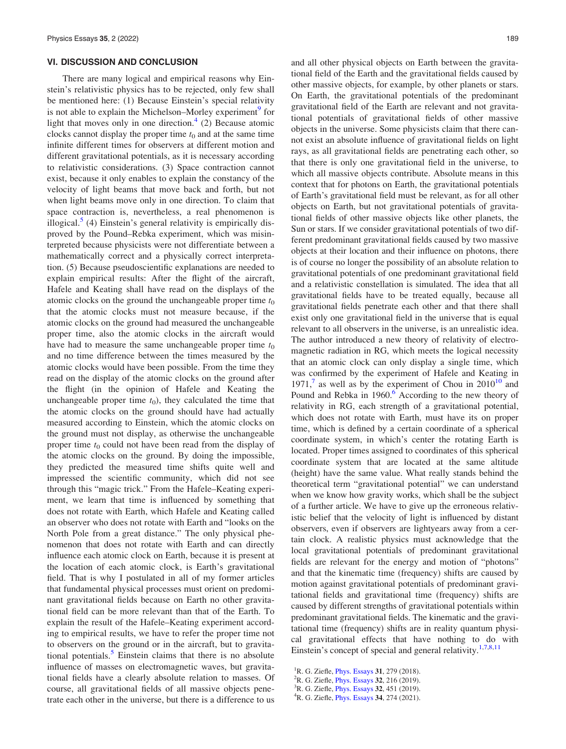#### <span id="page-8-0"></span>VI. DISCUSSION AND CONCLUSION

There are many logical and empirical reasons why Einstein's relativistic physics has to be rejected, only few shall be mentioned here: (1) Because Einstein's special relativity is not able to explain the Michelson–Morley experiment<sup>[9](#page-9-0)</sup> for light that moves only in one direction. $4$  (2) Because atomic clocks cannot display the proper time  $t_0$  and at the same time infinite different times for observers at different motion and different gravitational potentials, as it is necessary according to relativistic considerations. (3) Space contraction cannot exist, because it only enables to explain the constancy of the velocity of light beams that move back and forth, but not when light beams move only in one direction. To claim that space contraction is, nevertheless, a real phenomenon is illogical. $5$  (4) Einstein's general relativity is empirically disproved by the Pound–Rebka experiment, which was misinterpreted because physicists were not differentiate between a mathematically correct and a physically correct interpretation. (5) Because pseudoscientific explanations are needed to explain empirical results: After the flight of the aircraft, Hafele and Keating shall have read on the displays of the atomic clocks on the ground the unchangeable proper time  $t_0$ that the atomic clocks must not measure because, if the atomic clocks on the ground had measured the unchangeable proper time, also the atomic clocks in the aircraft would have had to measure the same unchangeable proper time  $t_0$ and no time difference between the times measured by the atomic clocks would have been possible. From the time they read on the display of the atomic clocks on the ground after the flight (in the opinion of Hafele and Keating the unchangeable proper time  $t_0$ ), they calculated the time that the atomic clocks on the ground should have had actually measured according to Einstein, which the atomic clocks on the ground must not display, as otherwise the unchangeable proper time  $t_0$  could not have been read from the display of the atomic clocks on the ground. By doing the impossible, they predicted the measured time shifts quite well and impressed the scientific community, which did not see through this "magic trick." From the Hafele–Keating experiment, we learn that time is influenced by something that does not rotate with Earth, which Hafele and Keating called an observer who does not rotate with Earth and "looks on the North Pole from a great distance." The only physical phenomenon that does not rotate with Earth and can directly influence each atomic clock on Earth, because it is present at the location of each atomic clock, is Earth's gravitational field. That is why I postulated in all of my former articles that fundamental physical processes must orient on predominant gravitational fields because on Earth no other gravitational field can be more relevant than that of the Earth. To explain the result of the Hafele–Keating experiment according to empirical results, we have to refer the proper time not to observers on the ground or in the aircraft, but to gravita-tional potentials.<sup>[5](#page-9-0)</sup> Einstein claims that there is no absolute influence of masses on electromagnetic waves, but gravitational fields have a clearly absolute relation to masses. Of course, all gravitational fields of all massive objects penetrate each other in the universe, but there is a difference to us and all other physical objects on Earth between the gravitational field of the Earth and the gravitational fields caused by other massive objects, for example, by other planets or stars. On Earth, the gravitational potentials of the predominant gravitational field of the Earth are relevant and not gravitational potentials of gravitational fields of other massive objects in the universe. Some physicists claim that there cannot exist an absolute influence of gravitational fields on light rays, as all gravitational fields are penetrating each other, so that there is only one gravitational field in the universe, to which all massive objects contribute. Absolute means in this context that for photons on Earth, the gravitational potentials of Earth's gravitational field must be relevant, as for all other objects on Earth, but not gravitational potentials of gravitational fields of other massive objects like other planets, the Sun or stars. If we consider gravitational potentials of two different predominant gravitational fields caused by two massive objects at their location and their influence on photons, there is of course no longer the possibility of an absolute relation to gravitational potentials of one predominant gravitational field and a relativistic constellation is simulated. The idea that all gravitational fields have to be treated equally, because all gravitational fields penetrate each other and that there shall exist only one gravitational field in the universe that is equal relevant to all observers in the universe, is an unrealistic idea. The author introduced a new theory of relativity of electromagnetic radiation in RG, which meets the logical necessity that an atomic clock can only display a single time, which was confirmed by the experiment of Hafele and Keating in 1971,<sup>7</sup> as well as by the experiment of Chou in  $2010^{10}$  $2010^{10}$  $2010^{10}$  and Pound and Rebka in  $1960$ .<sup>6</sup> According to the new theory of relativity in RG, each strength of a gravitational potential, which does not rotate with Earth, must have its on proper time, which is defined by a certain coordinate of a spherical coordinate system, in which's center the rotating Earth is located. Proper times assigned to coordinates of this spherical coordinate system that are located at the same altitude (height) have the same value. What really stands behind the theoretical term "gravitational potential" we can understand when we know how gravity works, which shall be the subject of a further article. We have to give up the erroneous relativistic belief that the velocity of light is influenced by distant observers, even if observers are lightyears away from a certain clock. A realistic physics must acknowledge that the local gravitational potentials of predominant gravitational fields are relevant for the energy and motion of "photons" and that the kinematic time (frequency) shifts are caused by motion against gravitational potentials of predominant gravitational fields and gravitational time (frequency) shifts are caused by different strengths of gravitational potentials within predominant gravitational fields. The kinematic and the gravitational time (frequency) shifts are in reality quantum physical gravitational effects that have nothing to do with Einstein's concept of special and general relativity.<sup>1[,7](#page-9-0),[8,11](#page-9-0)</sup>

- <sup>1</sup>R. G. Ziefle, *[Phys. Essays](http://dx.doi.org/10.4006/0836-1398-31.3.279)* **31**, 279 (2018).
- ${}^{2}$ R. G. Ziefle, *[Phys. Essays](http://dx.doi.org/10.4006/0836-1398-32.2.216)* 32, 216 (2019).
- ${}^{3}$ R. G. Ziefle, *[Phys. Essays](http://dx.doi.org/10.4006/0836-1398-32.4.451)* 32, 451 (2019).
- ${}^{4}$ R. G. Ziefle, [Phys. Essays](http://dx.doi.org/10.4006/0836-1398-34.3.274) 34, 274 (2021).